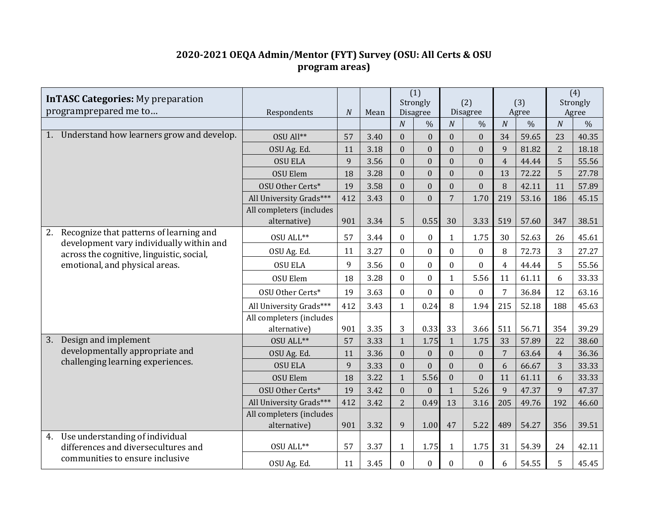## **2020-2021 OEQA Admin/Mentor (FYT) Survey (OSU: All Certs & OSU program areas)**

| <b>InTASC Categories:</b> My preparation |                                                                                                                                  |                                          |                |      | (1)<br>Strongly  |                  | (2)              |                 | (3)              |       | (4)<br>Strongly |               |
|------------------------------------------|----------------------------------------------------------------------------------------------------------------------------------|------------------------------------------|----------------|------|------------------|------------------|------------------|-----------------|------------------|-------|-----------------|---------------|
|                                          | programprepared me to                                                                                                            | Respondents                              | $\overline{N}$ | Mean |                  | <b>Disagree</b>  |                  | <b>Disagree</b> |                  | Agree |                 | Agree         |
|                                          |                                                                                                                                  |                                          |                |      | $\overline{N}$   | $\%$             | $\overline{N}$   | $\%$            | $\boldsymbol{N}$ | $\%$  | $\overline{N}$  | $\frac{0}{0}$ |
|                                          | 1. Understand how learners grow and develop.                                                                                     | OSU All**                                | 57             | 3.40 | $\boldsymbol{0}$ | $\boldsymbol{0}$ | $\mathbf{0}$     | $\Omega$        | 34               | 59.65 | 23              | 40.35         |
|                                          |                                                                                                                                  | OSU Ag. Ed.                              | 11             | 3.18 | $\mathbf{0}$     | $\overline{0}$   | $\mathbf{0}$     | $\mathbf{0}$    | 9                | 81.82 | $\overline{2}$  | 18.18         |
|                                          |                                                                                                                                  | <b>OSU ELA</b>                           | 9              | 3.56 | $\overline{0}$   | $\mathbf{0}$     | $\mathbf{0}$     | $\mathbf{0}$    | $\overline{4}$   | 44.44 | 5               | 55.56         |
|                                          |                                                                                                                                  | <b>OSU Elem</b>                          | 18             | 3.28 | $\mathbf{0}$     | $\overline{0}$   | $\theta$         | $\overline{0}$  | 13               | 72.22 | 5               | 27.78         |
|                                          |                                                                                                                                  | OSU Other Certs*                         | 19             | 3.58 | $\overline{0}$   | $\mathbf{0}$     | $\Omega$         | $\mathbf{0}$    | 8                | 42.11 | 11              | 57.89         |
|                                          |                                                                                                                                  | All University Grads***                  | 412            | 3.43 | $\boldsymbol{0}$ | $\overline{0}$   | $\overline{7}$   | 1.70            | 219              | 53.16 | 186             | 45.15         |
|                                          |                                                                                                                                  | All completers (includes<br>alternative) | 901            | 3.34 | 5                | 0.55             | 30               | 3.33            | 519              | 57.60 | 347             | 38.51         |
| 2.                                       | Recognize that patterns of learning and<br>development vary individually within and<br>across the cognitive, linguistic, social, | OSU ALL**                                | 57             | 3.44 | $\theta$         | $\theta$         | 1                | 1.75            | 30               | 52.63 | 26              | 45.61         |
|                                          |                                                                                                                                  | OSU Ag. Ed.                              | 11             | 3.27 | $\overline{0}$   | $\mathbf{0}$     | $\mathbf{0}$     | $\mathbf{0}$    | 8                | 72.73 | 3               | 27.27         |
|                                          | emotional, and physical areas.                                                                                                   | <b>OSU ELA</b>                           | 9              | 3.56 | $\overline{0}$   | $\boldsymbol{0}$ | $\mathbf{0}$     | $\mathbf{0}$    | $\overline{4}$   | 44.44 | 5               | 55.56         |
|                                          |                                                                                                                                  | OSU Elem                                 | 18             | 3.28 | $\mathbf{0}$     | $\boldsymbol{0}$ | $\mathbf{1}$     | 5.56            | 11               | 61.11 | 6               | 33.33         |
|                                          |                                                                                                                                  | OSU Other Certs*                         | 19             | 3.63 | $\overline{0}$   | $\mathbf{0}$     | $\theta$         | $\overline{0}$  | 7                | 36.84 | 12              | 63.16         |
|                                          |                                                                                                                                  | All University Grads***                  | 412            | 3.43 | $\mathbf{1}$     | 0.24             | 8                | 1.94            | 215              | 52.18 | 188             | 45.63         |
|                                          |                                                                                                                                  | All completers (includes<br>alternative) | 901            | 3.35 | 3                | 0.33             | 33               | 3.66            | 511              | 56.71 | 354             | 39.29         |
| 3.                                       | Design and implement                                                                                                             | OSU ALL**                                | 57             | 3.33 | $\mathbf{1}$     | 1.75             | $\mathbf{1}$     | 1.75            | 33               | 57.89 | 22              | 38.60         |
|                                          | developmentally appropriate and                                                                                                  | OSU Ag. Ed.                              | 11             | 3.36 | $\overline{0}$   | $\mathbf{0}$     | $\mathbf{0}$     | $\mathbf{0}$    | 7                | 63.64 | $\overline{4}$  | 36.36         |
|                                          | challenging learning experiences.                                                                                                | <b>OSU ELA</b>                           | 9              | 3.33 | $\boldsymbol{0}$ | $\overline{0}$   | $\mathbf{0}$     | $\mathbf{0}$    | 6                | 66.67 | 3               | 33.33         |
|                                          |                                                                                                                                  | OSU Elem                                 | 18             | 3.22 | $\mathbf{1}$     | 5.56             | $\mathbf{0}$     | $\overline{0}$  | 11               | 61.11 | 6               | 33.33         |
|                                          |                                                                                                                                  | OSU Other Certs*                         | 19             | 3.42 | $\boldsymbol{0}$ | $\theta$         | $\mathbf{1}$     | 5.26            | 9                | 47.37 | 9               | 47.37         |
|                                          |                                                                                                                                  | All University Grads***                  | 412            | 3.42 | $\overline{2}$   | 0.49             | 13               | 3.16            | 205              | 49.76 | 192             | 46.60         |
|                                          |                                                                                                                                  | All completers (includes<br>alternative) | 901            | 3.32 | 9                | 1.00             | 47               | 5.22            | 489              | 54.27 | 356             | 39.51         |
| 4.                                       | Use understanding of individual<br>differences and diversecultures and                                                           | OSU ALL**                                | 57             | 3.37 | $\mathbf{1}$     | 1.75             | 1                | 1.75            | 31               | 54.39 | 24              | 42.11         |
|                                          | communities to ensure inclusive                                                                                                  | OSU Ag. Ed.                              | 11             | 3.45 | $\overline{0}$   | $\mathbf{0}$     | $\boldsymbol{0}$ | $\mathbf{0}$    | 6                | 54.55 | 5               | 45.45         |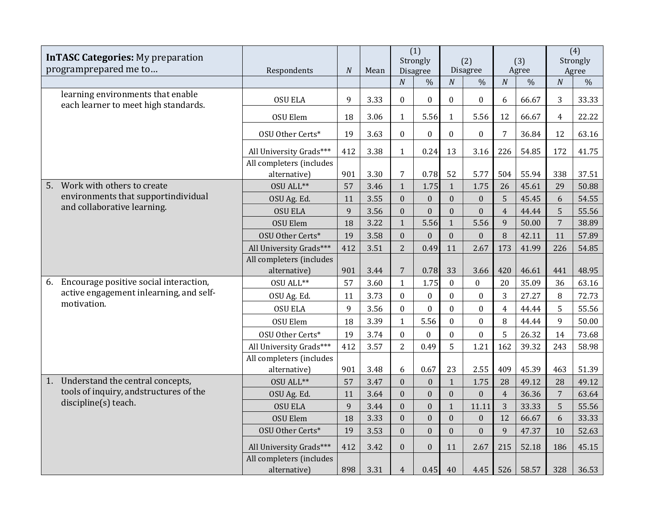| <b>InTASC Categories:</b> My preparation |                                                                    |                                          |                  |      | $\overline{(1)}$<br>Strongly |                           | (2)              |                  | (3)              |                        | $\overline{(4)}$<br>Strongly |                        |
|------------------------------------------|--------------------------------------------------------------------|------------------------------------------|------------------|------|------------------------------|---------------------------|------------------|------------------|------------------|------------------------|------------------------------|------------------------|
|                                          | programprepared me to                                              | Respondents                              | $\boldsymbol{N}$ | Mean | $\boldsymbol{N}$             | Disagree<br>$\frac{0}{0}$ | $\boldsymbol{N}$ | Disagree         | $\boldsymbol{N}$ | Agree<br>$\frac{0}{0}$ | $\boldsymbol{N}$             | Agree<br>$\frac{0}{0}$ |
|                                          | learning environments that enable                                  |                                          |                  |      |                              |                           |                  | $\frac{0}{0}$    |                  |                        |                              |                        |
|                                          | each learner to meet high standards.                               | <b>OSU ELA</b>                           | 9                | 3.33 | $\boldsymbol{0}$             | $\Omega$                  | $\theta$         | $\bf{0}$         | 6                | 66.67                  | 3                            | 33.33                  |
|                                          |                                                                    | <b>OSU Elem</b>                          | 18               | 3.06 | $\mathbf{1}$                 | 5.56                      | 1                | 5.56             | 12               | 66.67                  | $\overline{4}$               | 22.22                  |
|                                          |                                                                    | OSU Other Certs*                         | 19               | 3.63 | $\boldsymbol{0}$             | $\Omega$                  | $\overline{0}$   | $\bf{0}$         | 7                | 36.84                  | 12                           | 63.16                  |
|                                          |                                                                    | All University Grads***                  | 412              | 3.38 | $\mathbf{1}$                 | 0.24                      | 13               | 3.16             | 226              | 54.85                  | 172                          | 41.75                  |
|                                          |                                                                    | All completers (includes<br>alternative) | 901              | 3.30 | $\overline{7}$               | 0.78                      | 52               | 5.77             | 504              | 55.94                  | 338                          | 37.51                  |
| 5.                                       | Work with others to create                                         | OSU ALL**                                | 57               | 3.46 | $\mathbf{1}$                 | 1.75                      | $\mathbf{1}$     | 1.75             | 26               | 45.61                  | 29                           | 50.88                  |
|                                          | environments that supportindividual<br>and collaborative learning. | OSU Ag. Ed.                              | 11               | 3.55 | $\overline{0}$               | $\mathbf{0}$              | $\overline{0}$   | $\mathbf{0}$     | 5                | 45.45                  | 6                            | 54.55                  |
|                                          |                                                                    | <b>OSU ELA</b>                           | 9                | 3.56 | $\mathbf{0}$                 | $\mathbf{0}$              | $\overline{0}$   | $\overline{0}$   | $\overline{4}$   | 44.44                  | 5                            | 55.56                  |
|                                          |                                                                    | <b>OSU Elem</b>                          | 18               | 3.22 | $\mathbf{1}$                 | 5.56                      | $\mathbf{1}$     | 5.56             | 9                | 50.00                  | $\overline{7}$               | 38.89                  |
|                                          |                                                                    | OSU Other Certs*                         | 19               | 3.58 | $\overline{0}$               | $\mathbf{0}$              | $\mathbf{0}$     | $\mathbf{0}$     | 8                | 42.11                  | 11                           | 57.89                  |
|                                          |                                                                    | All University Grads***                  | 412              | 3.51 | $\overline{2}$               | 0.49                      | 11               | 2.67             | 173              | 41.99                  | 226                          | 54.85                  |
|                                          |                                                                    | All completers (includes                 |                  |      |                              |                           |                  |                  |                  |                        |                              |                        |
|                                          |                                                                    | alternative)                             | 901              | 3.44 | $\sqrt{7}$                   | 0.78                      | 33               | 3.66             | 420              | 46.61                  | 441                          | 48.95                  |
| 6.                                       | Encourage positive social interaction,                             | OSU ALL**                                | 57               | 3.60 | $\mathbf{1}$                 | 1.75                      | $\mathbf{0}$     | $\boldsymbol{0}$ | 20               | 35.09                  | 36                           | 63.16                  |
|                                          | active engagement inlearning, and self-                            | OSU Ag. Ed.                              | 11               | 3.73 | $\mathbf{0}$                 | $\boldsymbol{0}$          | $\overline{0}$   | $\boldsymbol{0}$ | 3                | 27.27                  | 8                            | 72.73                  |
|                                          | motivation.                                                        | <b>OSU ELA</b>                           | 9                | 3.56 | $\boldsymbol{0}$             | $\boldsymbol{0}$          | $\overline{0}$   | $\boldsymbol{0}$ | 4                | 44.44                  | 5                            | 55.56                  |
|                                          |                                                                    | <b>OSU Elem</b>                          | 18               | 3.39 | $\mathbf{1}$                 | 5.56                      | $\mathbf{0}$     | $\mathbf{0}$     | 8                | 44.44                  | 9                            | 50.00                  |
|                                          |                                                                    | OSU Other Certs*                         | 19               | 3.74 | $\overline{0}$               | $\mathbf{0}$              | $\mathbf{0}$     | $\boldsymbol{0}$ | 5                | 26.32                  | 14                           | 73.68                  |
|                                          |                                                                    | All University Grads***                  | 412              | 3.57 | $\overline{2}$               | 0.49                      | 5                | 1.21             | 162              | 39.32                  | 243                          | 58.98                  |
|                                          |                                                                    | All completers (includes                 |                  |      |                              |                           |                  |                  |                  |                        |                              |                        |
|                                          |                                                                    | alternative)                             | 901              | 3.48 | 6                            | 0.67                      | 23               | 2.55             | 409              | 45.39                  | 463                          | 51.39                  |
| 1.                                       | Understand the central concepts,                                   | OSU ALL**                                | 57               | 3.47 | $\mathbf{0}$                 | $\mathbf{0}$              | $\mathbf{1}$     | 1.75             | 28               | 49.12                  | 28                           | 49.12                  |
|                                          | tools of inquiry, and structures of the<br>discipline(s) teach.    | OSU Ag. Ed.                              | 11               | 3.64 | $\boldsymbol{0}$             | $\boldsymbol{0}$          | $\overline{0}$   | $\mathbf{0}$     | $\overline{4}$   | 36.36                  | $\overline{7}$               | 63.64                  |
|                                          |                                                                    | <b>OSU ELA</b>                           | 9                | 3.44 | $\mathbf{0}$                 | $\mathbf{0}$              | $\mathbf{1}$     | 11.11            | 3                | 33.33                  | 5                            | 55.56                  |
|                                          |                                                                    | <b>OSU Elem</b>                          | 18               | 3.33 | $\overline{0}$               | $\mathbf{0}$              | $\overline{0}$   | $\mathbf{0}$     | 12               | 66.67                  | 6                            | 33.33                  |
|                                          |                                                                    | OSU Other Certs*                         | 19               | 3.53 | $\overline{0}$               | $\mathbf{0}$              | $\overline{0}$   | $\overline{0}$   | 9                | 47.37                  | 10                           | 52.63                  |
|                                          |                                                                    | All University Grads***                  | 412              | 3.42 | $\boldsymbol{0}$             | $\boldsymbol{0}$          | 11               | 2.67             | 215              | 52.18                  | 186                          | 45.15                  |
|                                          |                                                                    | All completers (includes<br>alternative) | 898              | 3.31 | $\overline{4}$               | 0.45                      | 40               | 4.45             | 526              | 58.57                  | 328                          | 36.53                  |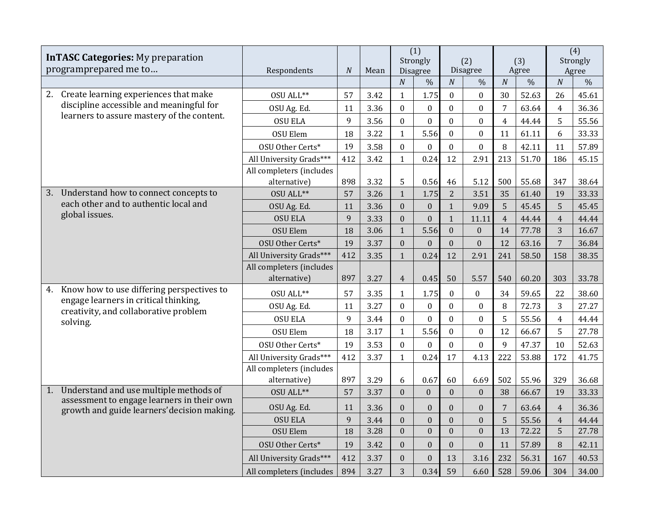| <b>InTASC Categories:</b> My preparation |                                                                                           |                          |                |      | (1)<br>Strongly  |                  | (2)              |                  | (3)            |       | (4)<br>Strongly  |               |
|------------------------------------------|-------------------------------------------------------------------------------------------|--------------------------|----------------|------|------------------|------------------|------------------|------------------|----------------|-------|------------------|---------------|
|                                          | programprepared me to                                                                     | Respondents              | $\overline{N}$ | Mean |                  | <b>Disagree</b>  |                  | <b>Disagree</b>  |                | Agree |                  | Agree         |
|                                          |                                                                                           |                          |                |      | $\overline{N}$   | $\%$             | $\boldsymbol{N}$ | $\%$             | $\overline{N}$ | $\%$  | $\boldsymbol{N}$ | $\frac{0}{0}$ |
| 2.                                       | Create learning experiences that make                                                     | OSU ALL**                | 57             | 3.42 | $\mathbf{1}$     | 1.75             | $\mathbf{0}$     | $\overline{0}$   | 30             | 52.63 | 26               | 45.61         |
|                                          | discipline accessible and meaningful for<br>learners to assure mastery of the content.    | OSU Ag. Ed.              | 11             | 3.36 | $\boldsymbol{0}$ | $\boldsymbol{0}$ | $\mathbf{0}$     | $\overline{0}$   | $\overline{7}$ | 63.64 | $\overline{4}$   | 36.36         |
|                                          |                                                                                           | <b>OSU ELA</b>           | 9              | 3.56 | $\mathbf{0}$     | $\boldsymbol{0}$ | $\mathbf{0}$     | $\overline{0}$   | $\overline{4}$ | 44.44 | 5                | 55.56         |
|                                          |                                                                                           | <b>OSU Elem</b>          | 18             | 3.22 | $\mathbf{1}$     | 5.56             | $\mathbf{0}$     | $\mathbf{0}$     | 11             | 61.11 | 6                | 33.33         |
|                                          |                                                                                           | OSU Other Certs*         | 19             | 3.58 | $\mathbf{0}$     | $\mathbf{0}$     | $\mathbf{0}$     | $\mathbf{0}$     | 8              | 42.11 | 11               | 57.89         |
|                                          |                                                                                           | All University Grads***  | 412            | 3.42 | $\mathbf{1}$     | 0.24             | 12               | 2.91             | 213            | 51.70 | 186              | 45.15         |
|                                          |                                                                                           | All completers (includes |                |      |                  |                  |                  |                  |                |       |                  |               |
|                                          |                                                                                           | alternative)             | 898            | 3.32 | 5                | 0.56             | 46               | 5.12             | 500            | 55.68 | 347              | 38.64         |
| 3.                                       | Understand how to connect concepts to                                                     | OSU ALL**                | 57             | 3.26 | $\mathbf{1}$     | 1.75             | $\overline{2}$   | 3.51             | 35             | 61.40 | 19               | 33.33         |
|                                          | each other and to authentic local and                                                     | OSU Ag. Ed.              | 11             | 3.36 | $\mathbf{0}$     | $\mathbf{0}$     | $\mathbf{1}$     | 9.09             | 5              | 45.45 | 5                | 45.45         |
|                                          | global issues.                                                                            | <b>OSU ELA</b>           | 9              | 3.33 | $\mathbf{0}$     | $\overline{0}$   | $\mathbf{1}$     | 11.11            | $\overline{4}$ | 44.44 | $\overline{4}$   | 44.44         |
|                                          |                                                                                           | <b>OSU Elem</b>          | 18             | 3.06 | $\mathbf{1}$     | 5.56             | $\mathbf{0}$     | $\boldsymbol{0}$ | 14             | 77.78 | $\overline{3}$   | 16.67         |
|                                          |                                                                                           | OSU Other Certs*         | 19             | 3.37 | $\boldsymbol{0}$ | $\mathbf{0}$     | $\mathbf{0}$     | $\boldsymbol{0}$ | 12             | 63.16 | $\overline{7}$   | 36.84         |
|                                          |                                                                                           | All University Grads***  | 412            | 3.35 | $\mathbf{1}$     | 0.24             | 12               | 2.91             | 241            | 58.50 | 158              | 38.35         |
|                                          |                                                                                           | All completers (includes |                |      |                  |                  |                  |                  |                |       |                  |               |
|                                          |                                                                                           | alternative)             | 897            | 3.27 | $\overline{4}$   | 0.45             | 50               | 5.57             | 540            | 60.20 | 303              | 33.78         |
| 4.                                       | Know how to use differing perspectives to<br>engage learners in critical thinking,        | OSU ALL**                | 57             | 3.35 | $\mathbf{1}$     | 1.75             | $\boldsymbol{0}$ | $\boldsymbol{0}$ | 34             | 59.65 | 22               | 38.60         |
|                                          | creativity, and collaborative problem                                                     | OSU Ag. Ed.              | 11             | 3.27 | $\boldsymbol{0}$ | $\boldsymbol{0}$ | $\mathbf{0}$     | $\mathbf{0}$     | 8              | 72.73 | 3                | 27.27         |
|                                          | solving.                                                                                  | <b>OSU ELA</b>           | 9              | 3.44 | $\mathbf{0}$     | $\mathbf{0}$     | $\boldsymbol{0}$ | $\mathbf{0}$     | 5              | 55.56 | $\overline{4}$   | 44.44         |
|                                          |                                                                                           | OSU Elem                 | 18             | 3.17 | $\mathbf{1}$     | 5.56             | $\mathbf{0}$     | $\boldsymbol{0}$ | 12             | 66.67 | 5                | 27.78         |
|                                          |                                                                                           | OSU Other Certs*         | 19             | 3.53 | $\mathbf{0}$     | $\mathbf{0}$     | $\mathbf{0}$     | $\overline{0}$   | 9              | 47.37 | 10               | 52.63         |
|                                          |                                                                                           | All University Grads***  | 412            | 3.37 | $\mathbf{1}$     | 0.24             | 17               | 4.13             | 222            | 53.88 | 172              | 41.75         |
|                                          |                                                                                           | All completers (includes |                |      |                  |                  |                  |                  |                |       |                  |               |
|                                          |                                                                                           | alternative)             | 897            | 3.29 | 6                | 0.67             | 60               | 6.69             | 502            | 55.96 | 329              | 36.68         |
| 1.                                       | Understand and use multiple methods of                                                    | OSU ALL**                | 57             | 3.37 | $\mathbf{0}$     | $\boldsymbol{0}$ | $\mathbf{0}$     | $\mathbf{0}$     | 38             | 66.67 | 19               | 33.33         |
|                                          | assessment to engage learners in their own<br>growth and guide learners' decision making. | OSU Ag. Ed.              | 11             | 3.36 | $\boldsymbol{0}$ | $\mathbf{0}$     | $\mathbf{0}$     | $\boldsymbol{0}$ | 7              | 63.64 | $\overline{4}$   | 36.36         |
|                                          |                                                                                           | <b>OSU ELA</b>           | 9              | 3.44 | $\boldsymbol{0}$ | $\mathbf{0}$     | $\overline{0}$   | $\boldsymbol{0}$ | 5              | 55.56 | $\overline{4}$   | 44.44         |
|                                          |                                                                                           | OSU Elem                 | 18             | 3.28 | $\mathbf{0}$     | $\mathbf{0}$     | $\theta$         | $\mathbf{0}$     | 13             | 72.22 | 5                | 27.78         |
|                                          |                                                                                           | OSU Other Certs*         | 19             | 3.42 | $\overline{0}$   | $\boldsymbol{0}$ | $\mathbf{0}$     | $\mathbf{0}$     | 11             | 57.89 | 8                | 42.11         |
|                                          |                                                                                           | All University Grads***  | 412            | 3.37 | $\boldsymbol{0}$ | $\mathbf{0}$     | 13               | 3.16             | 232            | 56.31 | 167              | 40.53         |
|                                          |                                                                                           | All completers (includes | 894            | 3.27 | 3                | 0.34             | 59               | 6.60             | 528            | 59.06 | 304              | 34.00         |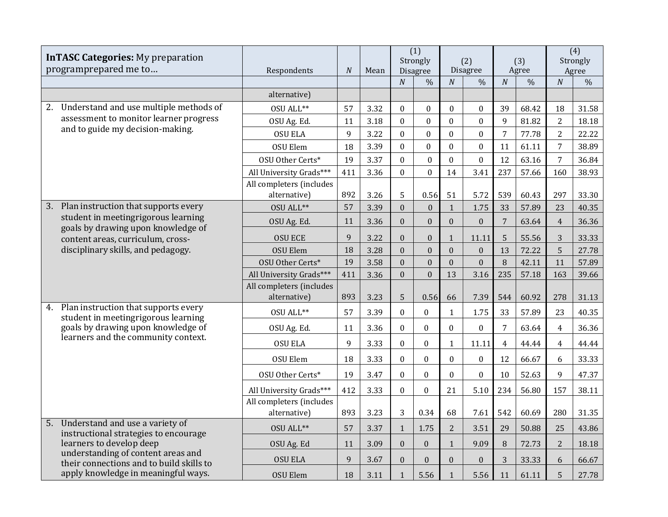| <b>InTASC Categories: My preparation</b><br>programprepared me to |                                                                                | Respondents                              | $\overline{N}$ | Mean | $\overline{(1)}$<br>Strongly<br><b>Disagree</b> |                  | (2)<br><b>Disagree</b> |                  | (3)<br>Agree     |               |                  | (4)<br>Strongly<br>Agree |
|-------------------------------------------------------------------|--------------------------------------------------------------------------------|------------------------------------------|----------------|------|-------------------------------------------------|------------------|------------------------|------------------|------------------|---------------|------------------|--------------------------|
|                                                                   |                                                                                |                                          |                |      | $\boldsymbol{N}$                                | $\frac{0}{0}$    | $\boldsymbol{N}$       | $\frac{0}{0}$    | $\boldsymbol{N}$ | $\frac{0}{0}$ | $\boldsymbol{N}$ | $\frac{0}{0}$            |
|                                                                   |                                                                                | alternative)                             |                |      |                                                 |                  |                        |                  |                  |               |                  |                          |
| 2.                                                                | Understand and use multiple methods of                                         | OSU ALL**                                | 57             | 3.32 | $\boldsymbol{0}$                                | $\boldsymbol{0}$ | $\boldsymbol{0}$       | $\bf{0}$         | 39               | 68.42         | 18               | 31.58                    |
|                                                                   | assessment to monitor learner progress                                         | OSU Ag. Ed.                              | 11             | 3.18 | $\mathbf{0}$                                    | $\mathbf{0}$     | $\mathbf{0}$           | $\theta$         | 9                | 81.82         | $\overline{2}$   | 18.18                    |
|                                                                   | and to guide my decision-making.                                               | <b>OSU ELA</b>                           | 9              | 3.22 | $\mathbf{0}$                                    | $\boldsymbol{0}$ | $\mathbf{0}$           | $\boldsymbol{0}$ | $\overline{7}$   | 77.78         | $\overline{2}$   | 22.22                    |
|                                                                   |                                                                                | OSU Elem                                 | 18             | 3.39 | $\mathbf{0}$                                    | $\mathbf{0}$     | $\mathbf{0}$           | $\boldsymbol{0}$ | 11               | 61.11         | $\overline{7}$   | 38.89                    |
|                                                                   |                                                                                | OSU Other Certs*                         | 19             | 3.37 | $\mathbf{0}$                                    | $\mathbf{0}$     | $\overline{0}$         | $\mathbf{0}$     | 12               | 63.16         | $\overline{7}$   | 36.84                    |
|                                                                   |                                                                                | All University Grads***                  | 411            | 3.36 | $\mathbf{0}$                                    | $\boldsymbol{0}$ | 14                     | 3.41             | 237              | 57.66         | 160              | 38.93                    |
|                                                                   |                                                                                | All completers (includes<br>alternative) | 892            | 3.26 | 5                                               | 0.56             | 51                     | 5.72             | 539              | 60.43         | 297              | 33.30                    |
| 3.                                                                | Plan instruction that supports every                                           | OSU ALL**                                | 57             | 3.39 | $\mathbf{0}$                                    | $\Omega$         | $\mathbf{1}$           | 1.75             | 33               | 57.89         | 23               | 40.35                    |
| goals by drawing upon knowledge of                                | student in meetingrigorous learning                                            | OSU Ag. Ed.                              | 11             | 3.36 | $\boldsymbol{0}$                                | $\mathbf{0}$     | $\mathbf{0}$           | $\mathbf{0}$     | $\overline{7}$   | 63.64         | $\overline{4}$   | 36.36                    |
|                                                                   | content areas, curriculum, cross-                                              | <b>OSU ECE</b>                           | 9              | 3.22 | $\mathbf{0}$                                    | $\boldsymbol{0}$ | $\mathbf{1}$           | 11.11            | 5                | 55.56         | 3                | 33.33                    |
|                                                                   | disciplinary skills, and pedagogy.                                             | OSU Elem                                 | 18             | 3.28 | $\mathbf{0}$                                    | $\mathbf{0}$     | $\overline{0}$         | $\boldsymbol{0}$ | 13               | 72.22         | 5                | 27.78                    |
|                                                                   |                                                                                | OSU Other Certs*                         | 19             | 3.58 | $\mathbf{0}$                                    | $\mathbf{0}$     | $\overline{0}$         | $\overline{0}$   | 8                | 42.11         | 11               | 57.89                    |
|                                                                   |                                                                                | All University Grads***                  | 411            | 3.36 | $\mathbf{0}$                                    | $\mathbf{0}$     | 13                     | 3.16             | 235              | 57.18         | 163              | 39.66                    |
|                                                                   |                                                                                | All completers (includes<br>alternative) | 893            | 3.23 | 5                                               | 0.56             | 66                     | 7.39             | 544              | 60.92         | 278              | 31.13                    |
| 4.                                                                | Plan instruction that supports every<br>student in meetingrigorous learning    | OSU ALL**                                | 57             | 3.39 | $\mathbf{0}$                                    | $\boldsymbol{0}$ | $\mathbf{1}$           | 1.75             | 33               | 57.89         | 23               | 40.35                    |
|                                                                   | goals by drawing upon knowledge of                                             | OSU Ag. Ed.                              | 11             | 3.36 | $\boldsymbol{0}$                                | $\boldsymbol{0}$ | $\boldsymbol{0}$       | $\boldsymbol{0}$ | 7                | 63.64         | $\overline{4}$   | 36.36                    |
|                                                                   | learners and the community context.                                            | <b>OSU ELA</b>                           | 9              | 3.33 | $\boldsymbol{0}$                                | $\boldsymbol{0}$ | $\mathbf{1}$           | 11.11            | $\overline{4}$   | 44.44         | $\overline{4}$   | 44.44                    |
|                                                                   |                                                                                | <b>OSU Elem</b>                          | 18             | 3.33 | $\boldsymbol{0}$                                | $\boldsymbol{0}$ | $\overline{0}$         | $\boldsymbol{0}$ | 12               | 66.67         | 6                | 33.33                    |
|                                                                   |                                                                                | OSU Other Certs*                         | 19             | 3.47 | $\mathbf{0}$                                    | $\mathbf{0}$     | $\mathbf{0}$           | $\mathbf{0}$     | 10               | 52.63         | 9                | 47.37                    |
|                                                                   |                                                                                | All University Grads***                  | 412            | 3.33 | $\mathbf{0}$                                    | $\boldsymbol{0}$ | 21                     | 5.10             | 234              | 56.80         | 157              | 38.11                    |
|                                                                   |                                                                                | All completers (includes<br>alternative) | 893            | 3.23 | $\sqrt{3}$                                      | 0.34             | 68                     | 7.61             | 542              | 60.69         | 280              | 31.35                    |
| 5.                                                                | Understand and use a variety of<br>instructional strategies to encourage       | OSU ALL**                                | 57             | 3.37 | $\mathbf{1}$                                    | 1.75             | $\overline{2}$         | 3.51             | 29               | 50.88         | 25               | 43.86                    |
|                                                                   | learners to develop deep                                                       | OSU Ag. Ed                               | 11             | 3.09 | $\mathbf{0}$                                    | $\mathbf{0}$     | $\mathbf{1}$           | 9.09             | 8                | 72.73         | $\overline{2}$   | 18.18                    |
|                                                                   | understanding of content areas and<br>their connections and to build skills to | <b>OSU ELA</b>                           | 9              | 3.67 | $\boldsymbol{0}$                                | $\mathbf{0}$     | $\boldsymbol{0}$       | $\mathbf{0}$     | 3                | 33.33         | 6                | 66.67                    |
|                                                                   | apply knowledge in meaningful ways.                                            | <b>OSU Elem</b>                          | 18             | 3.11 | $\mathbf{1}$                                    | 5.56             | $\mathbf{1}$           | 5.56             | 11               | 61.11         | 5                | 27.78                    |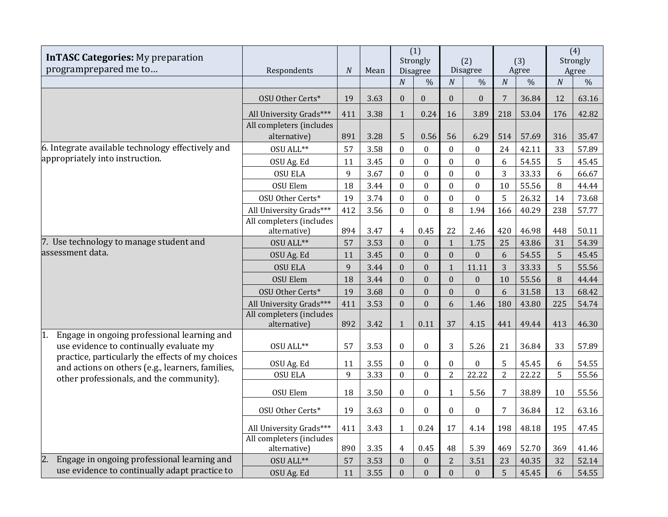| <b>InTASC Categories: My preparation</b><br>programprepared me to                      | Respondents                              | $\cal N$           | Mean         |                                    | $\overline{(1)}$<br>Strongly<br>Disagree |                            | (2)<br>Disagree  | (3)<br>Agree        |                |                  | $\overline{(4)}$<br>Strongly<br>Agree |
|----------------------------------------------------------------------------------------|------------------------------------------|--------------------|--------------|------------------------------------|------------------------------------------|----------------------------|------------------|---------------------|----------------|------------------|---------------------------------------|
|                                                                                        |                                          |                    |              | $\boldsymbol{N}$                   | $\frac{0}{0}$                            | $\overline{N}$             | $\frac{0}{0}$    | $\boldsymbol{N}$    | $\frac{0}{0}$  | $\boldsymbol{N}$ | $\frac{0}{0}$                         |
|                                                                                        | OSU Other Certs*                         | 19                 | 3.63         | $\overline{0}$                     | $\Omega$                                 | $\Omega$                   | $\Omega$         | 7                   | 36.84          | 12               | 63.16                                 |
|                                                                                        | All University Grads***                  | 411                | 3.38         | $\mathbf{1}$                       | 0.24                                     | 16                         | 3.89             | 218                 | 53.04          | 176              | 42.82                                 |
|                                                                                        | All completers (includes                 |                    |              |                                    |                                          |                            |                  |                     |                |                  |                                       |
|                                                                                        | alternative)                             | 891                | 3.28         | 5                                  | 0.56                                     | 56                         | 6.29             | 514                 | 57.69          | 316              | 35.47                                 |
| 6. Integrate available technology effectively and                                      | $0\rm{SU\,ALL^{**}}$                     | 57                 | 3.58         | $\mathbf{0}$                       | $\mathbf{0}$                             | $\boldsymbol{0}$           | $\boldsymbol{0}$ | 24                  | 42.11          | 33               | 57.89                                 |
| appropriately into instruction.                                                        | OSU Ag. Ed                               | 11                 | 3.45         | $\overline{0}$                     | $\mathbf{0}$                             | $\mathbf{0}$               | $\overline{0}$   | 6                   | 54.55          | 5                | 45.45                                 |
|                                                                                        | <b>OSU ELA</b>                           | 9                  | 3.67         | $\mathbf{0}$                       | $\mathbf{0}$                             | $\theta$                   | $\mathbf{0}$     | 3                   | 33.33          | 6                | 66.67                                 |
|                                                                                        | <b>OSU Elem</b>                          | 18                 | 3.44         | $\overline{0}$                     | $\mathbf{0}$                             | $\mathbf{0}$               | $\boldsymbol{0}$ | 10                  | 55.56          | 8                | 44.44                                 |
|                                                                                        | OSU Other Certs*                         | 19                 | 3.74         | $\overline{0}$                     | $\boldsymbol{0}$                         | $\boldsymbol{0}$           | $\boldsymbol{0}$ | 5                   | 26.32          | 14               | 73.68                                 |
|                                                                                        | All University Grads***                  | 412                | 3.56         | $\overline{0}$                     | $\overline{0}$                           | 8                          | 1.94             | 166                 | 40.29          | 238              | 57.77                                 |
|                                                                                        | All completers (includes<br>alternative) | 894                | 3.47         | $\overline{4}$                     | 0.45                                     | 22                         | 2.46             | 420                 | 46.98          | 448              | 50.11                                 |
| 7. Use technology to manage student and                                                | OSU ALL**                                | 57                 | 3.53         | $\overline{0}$                     | $\mathbf{0}$                             | 1                          | 1.75             | 25                  | 43.86          | 31               | 54.39                                 |
| assessment data.                                                                       | OSU Ag. Ed                               | 11                 | 3.45         | $\mathbf{0}$                       | $\mathbf{0}$                             | $\theta$                   | $\boldsymbol{0}$ | 6                   | 54.55          | 5                | 45.45                                 |
|                                                                                        | <b>OSU ELA</b>                           | 9                  | 3.44         | $\boldsymbol{0}$                   | $\mathbf{0}$                             | $\mathbf{1}$               | 11.11            | 3                   | 33.33          | 5                | 55.56                                 |
|                                                                                        | <b>OSU Elem</b>                          | 18                 | 3.44         | $\overline{0}$                     | $\mathbf{0}$                             | $\boldsymbol{0}$           | $\boldsymbol{0}$ | 10                  | 55.56          | 8                | 44.44                                 |
|                                                                                        | OSU Other Certs*                         | 19                 | 3.68         | $\overline{0}$                     | $\mathbf{0}$                             | $\mathbf{0}$               | $\mathbf{0}$     | 6                   | 31.58          | 13               | 68.42                                 |
|                                                                                        | All University Grads***                  | 411                | 3.53         | $\mathbf{0}$                       | $\mathbf{0}$                             | 6                          | 1.46             | 180                 | 43.80          | 225              | 54.74                                 |
|                                                                                        | All completers (includes<br>alternative) | 892                | 3.42         | $\mathbf{1}$                       | 0.11                                     | 37                         | 4.15             | 441                 | 49.44          | 413              | 46.30                                 |
| Engage in ongoing professional learning and<br>use evidence to continually evaluate my | OSU ALL**                                | 57                 | 3.53         | $\mathbf{0}$                       | $\mathbf{0}$                             | 3                          | 5.26             | 21                  | 36.84          | 33               | 57.89                                 |
| practice, particularly the effects of my choices                                       |                                          |                    |              |                                    |                                          |                            | $\mathbf{0}$     |                     |                |                  |                                       |
| and actions on others (e.g., learners, families,                                       | OSU Ag. Ed<br><b>OSU ELA</b>             | 11<br>$\mathsf{q}$ | 3.55<br>3.33 | $\boldsymbol{0}$<br>$\overline{0}$ | $\mathbf{0}$<br>$\mathbf{0}$             | $\Omega$<br>$\overline{2}$ | 22.22            | 5<br>$\overline{2}$ | 45.45<br>22.22 | 6<br>5           | 54.55<br>55.56                        |
| other professionals, and the community).                                               |                                          |                    |              |                                    |                                          |                            |                  |                     |                |                  |                                       |
|                                                                                        | <b>OSU Elem</b>                          | 18                 | 3.50         | $\mathbf{0}$                       | $\boldsymbol{0}$                         | 1                          | 5.56             | 7                   | 38.89          | 10               | 55.56                                 |
|                                                                                        | OSU Other Certs*                         | 19                 | 3.63         | $\boldsymbol{0}$                   | $\boldsymbol{0}$                         | $\Omega$                   | 0                | 7                   | 36.84          | 12               | 63.16                                 |
|                                                                                        | All University Grads***                  | 411                | 3.43         | $\mathbf{1}$                       | 0.24                                     | 17                         | 4.14             | 198                 | 48.18          | 195              | 47.45                                 |
|                                                                                        | All completers (includes<br>alternative) | 890                | 3.35         | $\overline{4}$                     | 0.45                                     | 48                         | 5.39             | 469                 | 52.70          | 369              | 41.46                                 |
| $\overline{2}$ .<br>Engage in ongoing professional learning and                        | OSU ALL**                                | 57                 | 3.53         | $\overline{0}$                     | $\boldsymbol{0}$                         | $\overline{2}$             | 3.51             | 23                  | 40.35          | 32               | 52.14                                 |
| use evidence to continually adapt practice to                                          | OSU Ag. Ed                               | 11                 | 3.55         | $\overline{0}$                     | $\overline{0}$                           | $\mathbf{0}$               | $\mathbf{0}$     | 5                   | 45.45          | 6                | 54.55                                 |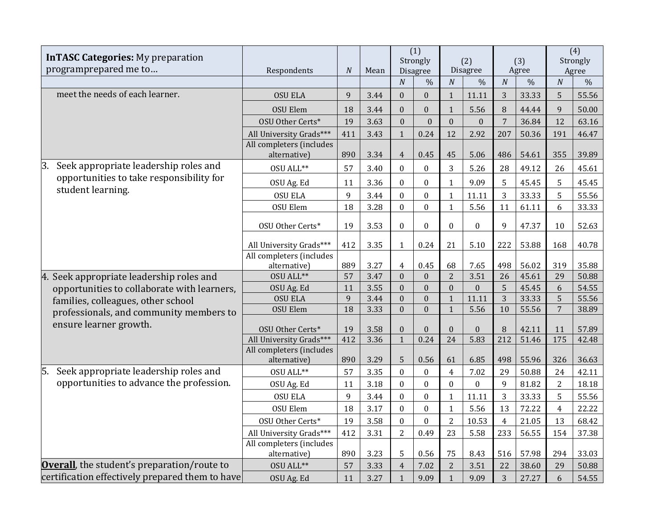| <b>InTASC Categories: My preparation</b><br>programprepared me to |                                          |                  |      |                  | $\overline{(1)}$<br>Strongly |                  | (2)                       |                  | (3)           |                  | (4)<br>Strongly        |
|-------------------------------------------------------------------|------------------------------------------|------------------|------|------------------|------------------------------|------------------|---------------------------|------------------|---------------|------------------|------------------------|
|                                                                   | Respondents                              | $\boldsymbol{N}$ | Mean | $\boldsymbol{N}$ | Disagree<br>$\%$             | $\boldsymbol{N}$ | Disagree<br>$\frac{0}{0}$ | $\boldsymbol{N}$ | Agree<br>$\%$ | $\boldsymbol{N}$ | Agree<br>$\frac{0}{0}$ |
| meet the needs of each learner.                                   | <b>OSU ELA</b>                           | 9                | 3.44 | $\overline{0}$   | $\mathbf{0}$                 | $\mathbf{1}$     | 11.11                     | 3                | 33.33         | 5                | 55.56                  |
|                                                                   | <b>OSU Elem</b>                          | 18               | 3.44 | $\overline{0}$   | $\mathbf{0}$                 | $\mathbf{1}$     | 5.56                      | 8                | 44.44         | 9                | 50.00                  |
|                                                                   | OSU Other Certs*                         | 19               | 3.63 | $\overline{0}$   | $\mathbf{0}$                 | $\mathbf{0}$     | $\mathbf{0}$              | $\overline{7}$   | 36.84         | 12               | 63.16                  |
|                                                                   | All University Grads***                  | 411              | 3.43 | $\mathbf{1}$     | 0.24                         | 12               | 2.92                      | 207              | 50.36         | 191              | 46.47                  |
|                                                                   | All completers (includes<br>alternative) | 890              | 3.34 | $\overline{4}$   | 0.45                         | 45               | 5.06                      | 486              | 54.61         | 355              | 39.89                  |
| 3.<br>Seek appropriate leadership roles and                       | OSU ALL**                                | 57               | 3.40 | $\overline{0}$   | $\mathbf{0}$                 | 3                | 5.26                      | 28               | 49.12         | 26               | 45.61                  |
| opportunities to take responsibility for<br>student learning.     | OSU Ag. Ed                               | 11               | 3.36 | $\mathbf{0}$     | $\boldsymbol{0}$             | $\mathbf{1}$     | 9.09                      | 5                | 45.45         | 5                | 45.45                  |
|                                                                   | <b>OSU ELA</b>                           | 9                | 3.44 | $\boldsymbol{0}$ | $\boldsymbol{0}$             | $\mathbf{1}$     | 11.11                     | 3                | 33.33         | 5                | 55.56                  |
|                                                                   | <b>OSU Elem</b>                          | 18               | 3.28 | $\overline{0}$   | $\mathbf{0}$                 | $\mathbf{1}$     | 5.56                      | 11               | 61.11         | 6                | 33.33                  |
|                                                                   | OSU Other Certs*                         | 19               | 3.53 | $\boldsymbol{0}$ | $\boldsymbol{0}$             | $\mathbf{0}$     | $\boldsymbol{0}$          | 9                | 47.37         | 10               | 52.63                  |
|                                                                   | All University Grads***                  | 412              | 3.35 | $\mathbf{1}$     | 0.24                         | 21               | 5.10                      | 222              | 53.88         | 168              | 40.78                  |
|                                                                   | All completers (includes<br>alternative) | 889              | 3.27 | $\overline{4}$   | 0.45                         | 68               | 7.65                      | 498              | 56.02         | 319              | 35.88                  |
| 4. Seek appropriate leadership roles and                          | OSU ALL**                                | 57               | 3.47 | $\overline{0}$   | $\mathbf{0}$                 | $\overline{2}$   | 3.51                      | 26               | 45.61         | 29               | 50.88                  |
| opportunities to collaborate with learners,                       | OSU Ag. Ed                               | 11               | 3.55 | $\overline{0}$   | $\theta$                     | $\overline{0}$   | $\bf{0}$                  | 5                | 45.45         | 6                | 54.55                  |
| families, colleagues, other school                                | <b>OSU ELA</b>                           | 9                | 3.44 | $\overline{0}$   | $\mathbf{0}$                 | $\mathbf{1}$     | 11.11                     | 3                | 33.33         | 5                | 55.56                  |
| professionals, and community members to                           | <b>OSU Elem</b>                          | 18               | 3.33 | $\overline{0}$   | $\mathbf{0}$                 | $\mathbf{1}$     | 5.56                      | 10               | 55.56         | $\overline{7}$   | 38.89                  |
| ensure learner growth.                                            | OSU Other Certs*                         | 19               | 3.58 | $\boldsymbol{0}$ | $\mathbf{0}$                 | $\boldsymbol{0}$ | $\boldsymbol{0}$          | 8                | 42.11         | 11               | 57.89                  |
|                                                                   | All University Grads***                  | 412              | 3.36 | $\overline{1}$   | 0.24                         | $\overline{24}$  | 5.83                      | 212              | 51.46         | 175              | 42.48                  |
|                                                                   | All completers (includes<br>alternative) | 890              | 3.29 | 5                | 0.56                         | 61               | 6.85                      | 498              | 55.96         | 326              | 36.63                  |
| Seek appropriate leadership roles and                             | OSU ALL**                                | 57               | 3.35 | $\mathbf{0}$     | $\boldsymbol{0}$             | $\overline{4}$   | 7.02                      | 29               | 50.88         | 24               | 42.11                  |
| opportunities to advance the profession.                          | OSU Ag. Ed                               | 11               | 3.18 | $\mathbf{0}$     | $\mathbf{0}$                 | $\theta$         | $\mathbf{0}$              | 9                | 81.82         | $\overline{2}$   | 18.18                  |
|                                                                   | <b>OSU ELA</b>                           | 9                | 3.44 | $\mathbf{0}$     | $\boldsymbol{0}$             | $\mathbf{1}$     | 11.11                     | 3                | 33.33         | 5                | 55.56                  |
|                                                                   | <b>OSU Elem</b>                          | 18               | 3.17 | $\mathbf{0}$     | $\mathbf{0}$                 | $\mathbf{1}$     | 5.56                      | 13               | 72.22         | $\overline{4}$   | 22.22                  |
|                                                                   | OSU Other Certs*                         | 19               | 3.58 | $\mathbf{0}$     | $\mathbf{0}$                 | $\overline{2}$   | 10.53                     | $\overline{4}$   | 21.05         | 13               | 68.42                  |
|                                                                   | All University Grads***                  | 412              | 3.31 | $\overline{2}$   | 0.49                         | 23               | 5.58                      | 233              | 56.55         | 154              | 37.38                  |
|                                                                   | All completers (includes<br>alternative) | 890              | 3.23 | 5                | 0.56                         | 75               | 8.43                      | 516              | 57.98         | 294              | 33.03                  |
| <b>Overall</b> , the student's preparation/route to               | OSU ALL**                                | 57               | 3.33 | $\overline{4}$   | 7.02                         | $\overline{2}$   | 3.51                      | 22               | 38.60         | 29               | 50.88                  |
| certification effectively prepared them to have                   | OSU Ag. Ed                               | 11               | 3.27 | $\mathbf{1}$     | 9.09                         | $\mathbf{1}$     | 9.09                      | 3                | 27.27         | 6                | 54.55                  |